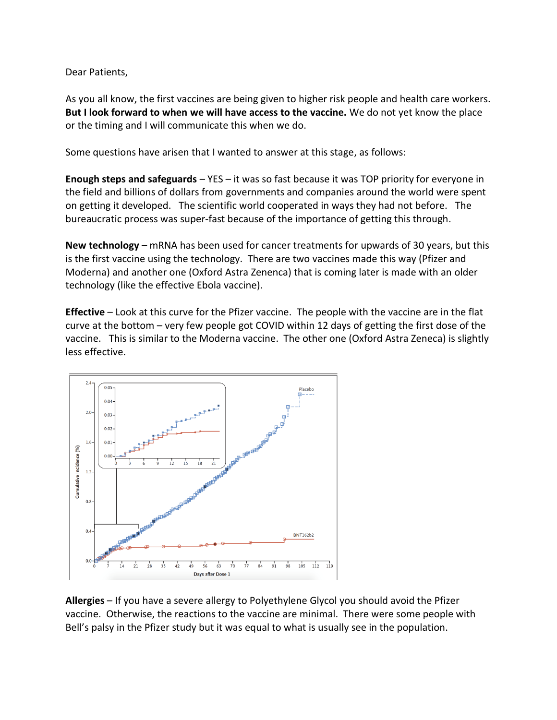Dear Patients,

As you all know, the first vaccines are being given to higher risk people and health care workers. **But I look forward to when we will have access to the vaccine.** We do not yet know the place or the timing and I will communicate this when we do.

Some questions have arisen that I wanted to answer at this stage, as follows:

**Enough steps and safeguards** – YES – it was so fast because it was TOP priority for everyone in the field and billions of dollars from governments and companies around the world were spent on getting it developed. The scientific world cooperated in ways they had not before. The bureaucratic process was super-fast because of the importance of getting this through.

**New technology** – mRNA has been used for cancer treatments for upwards of 30 years, but this is the first vaccine using the technology. There are two vaccines made this way (Pfizer and Moderna) and another one (Oxford Astra Zenenca) that is coming later is made with an older technology (like the effective Ebola vaccine).

**Effective** – Look at this curve for the Pfizer vaccine. The people with the vaccine are in the flat curve at the bottom – very few people got COVID within 12 days of getting the first dose of the vaccine. This is similar to the Moderna vaccine. The other one (Oxford Astra Zeneca) is slightly less effective.



**Allergies** – If you have a severe allergy to Polyethylene Glycol you should avoid the Pfizer vaccine. Otherwise, the reactions to the vaccine are minimal. There were some people with Bell's palsy in the Pfizer study but it was equal to what is usually see in the population.